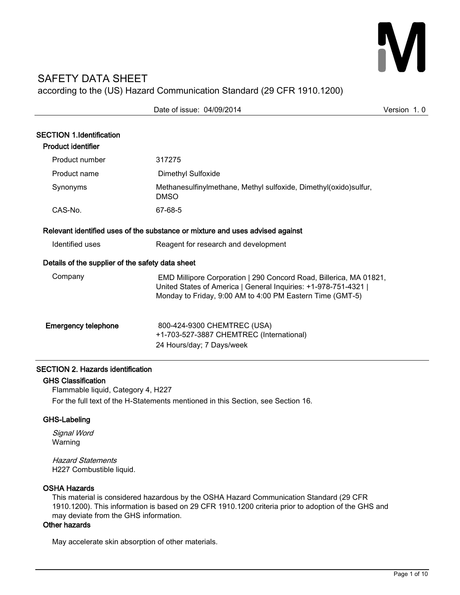# M

# SAFETY DATA SHEET according to the (US) Hazard Communication Standard (29 CFR 1910.1200)

|                                                              | Date of issue: 04/09/2014                                                                                                                                                                          | Version 1.0 |
|--------------------------------------------------------------|----------------------------------------------------------------------------------------------------------------------------------------------------------------------------------------------------|-------------|
| <b>SECTION 1.Identification</b><br><b>Product identifier</b> |                                                                                                                                                                                                    |             |
| Product number                                               | 317275                                                                                                                                                                                             |             |
| Product name                                                 | <b>Dimethyl Sulfoxide</b>                                                                                                                                                                          |             |
| Synonyms                                                     | Methanesulfinylmethane, Methyl sulfoxide, Dimethyl(oxido)sulfur,<br><b>DMSO</b>                                                                                                                    |             |
| CAS-No.                                                      | 67-68-5                                                                                                                                                                                            |             |
|                                                              | Relevant identified uses of the substance or mixture and uses advised against                                                                                                                      |             |
| Identified uses                                              | Reagent for research and development                                                                                                                                                               |             |
| Details of the supplier of the safety data sheet             |                                                                                                                                                                                                    |             |
| Company                                                      | EMD Millipore Corporation   290 Concord Road, Billerica, MA 01821,<br>United States of America   General Inquiries: +1-978-751-4321  <br>Monday to Friday, 9:00 AM to 4:00 PM Eastern Time (GMT-5) |             |
| <b>Emergency telephone</b>                                   | 800-424-9300 CHEMTREC (USA)<br>+1-703-527-3887 CHEMTREC (International)<br>24 Hours/day; 7 Days/week                                                                                               |             |

# SECTION 2. Hazards identification

# GHS Classification

Flammable liquid, Category 4, H227 For the full text of the H-Statements mentioned in this Section, see Section 16.

# GHS-Labeling

Signal Word Warning

Hazard Statements H227 Combustible liquid.

# OSHA Hazards

This material is considered hazardous by the OSHA Hazard Communication Standard (29 CFR 1910.1200). This information is based on 29 CFR 1910.1200 criteria prior to adoption of the GHS and may deviate from the GHS information.

# Other hazards

May accelerate skin absorption of other materials.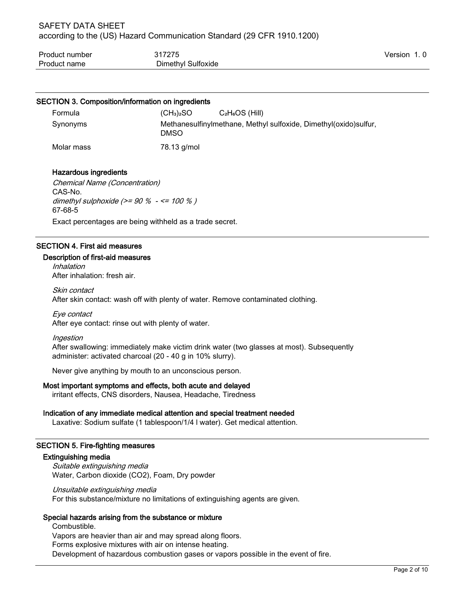| Product number | 317275             | Version |  |
|----------------|--------------------|---------|--|
| Product name   | Dimethyl Sulfoxide |         |  |

#### SECTION 3. Composition/information on ingredients

| Formula    | (CH <sub>3</sub> ) <sub>2</sub> SO | $C_2H_6OS$ (Hill)                                                |
|------------|------------------------------------|------------------------------------------------------------------|
| Synonyms   | DMSO                               | Methanesulfinylmethane, Methyl sulfoxide, Dimethyl(oxido)sulfur, |
| Molar mass | 78.13 g/mol                        |                                                                  |

# Hazardous ingredients

Chemical Name (Concentration) CAS-No. dimethyl sulphoxide  $(>= 90 \% - \le 100 \%$ ) 67-68-5

Exact percentages are being withheld as a trade secret.

#### SECTION 4. First aid measures

#### Description of first-aid measures

Inhalation After inhalation: fresh air.

Skin contact After skin contact: wash off with plenty of water. Remove contaminated clothing.

Eye contact After eye contact: rinse out with plenty of water.

Ingestion After swallowing: immediately make victim drink water (two glasses at most). Subsequently administer: activated charcoal (20 - 40 g in 10% slurry).

Never give anything by mouth to an unconscious person.

#### Most important symptoms and effects, both acute and delayed

irritant effects, CNS disorders, Nausea, Headache, Tiredness

#### Indication of any immediate medical attention and special treatment needed

Laxative: Sodium sulfate (1 tablespoon/1/4 l water). Get medical attention.

#### SECTION 5. Fire-fighting measures

#### Extinguishing media

Suitable extinguishing media Water, Carbon dioxide (CO2), Foam, Dry powder

Unsuitable extinguishing media For this substance/mixture no limitations of extinguishing agents are given.

# Special hazards arising from the substance or mixture

Combustible. Vapors are heavier than air and may spread along floors. Forms explosive mixtures with air on intense heating. Development of hazardous combustion gases or vapors possible in the event of fire.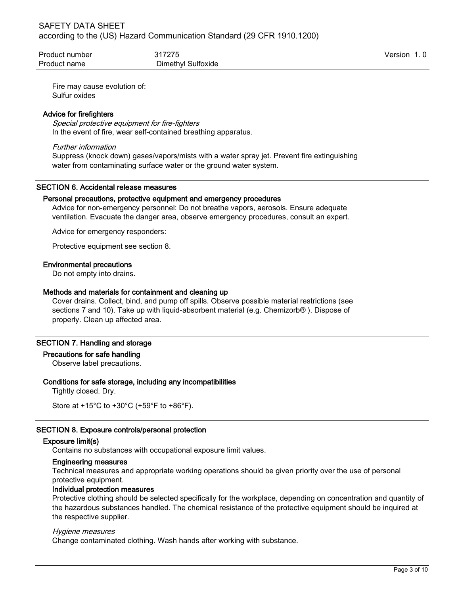| Product number | 317275             | Version 1.0 |
|----------------|--------------------|-------------|
| Product name   | Dimethyl Sulfoxide |             |

Fire may cause evolution of: Sulfur oxides

#### Advice for firefighters

Special protective equipment for fire-fighters In the event of fire, wear self-contained breathing apparatus.

#### Further information

Suppress (knock down) gases/vapors/mists with a water spray jet. Prevent fire extinguishing water from contaminating surface water or the ground water system.

#### SECTION 6. Accidental release measures

#### Personal precautions, protective equipment and emergency procedures

Advice for non-emergency personnel: Do not breathe vapors, aerosols. Ensure adequate ventilation. Evacuate the danger area, observe emergency procedures, consult an expert.

Advice for emergency responders:

Protective equipment see section 8.

#### Environmental precautions

Do not empty into drains.

#### Methods and materials for containment and cleaning up

Cover drains. Collect, bind, and pump off spills. Observe possible material restrictions (see sections 7 and 10). Take up with liquid-absorbent material (e.g. Chemizorb® ). Dispose of properly. Clean up affected area.

#### SECTION 7. Handling and storage

#### Precautions for safe handling

Observe label precautions.

#### Conditions for safe storage, including any incompatibilities

Tightly closed. Dry.

```
Store at +15°C to +30°C (+59°F to +86°F).
```
# SECTION 8. Exposure controls/personal protection

#### Exposure limit(s)

Contains no substances with occupational exposure limit values.

# Engineering measures

Technical measures and appropriate working operations should be given priority over the use of personal protective equipment.

#### Individual protection measures

Protective clothing should be selected specifically for the workplace, depending on concentration and quantity of the hazardous substances handled. The chemical resistance of the protective equipment should be inquired at the respective supplier.

#### Hygiene measures

Change contaminated clothing. Wash hands after working with substance.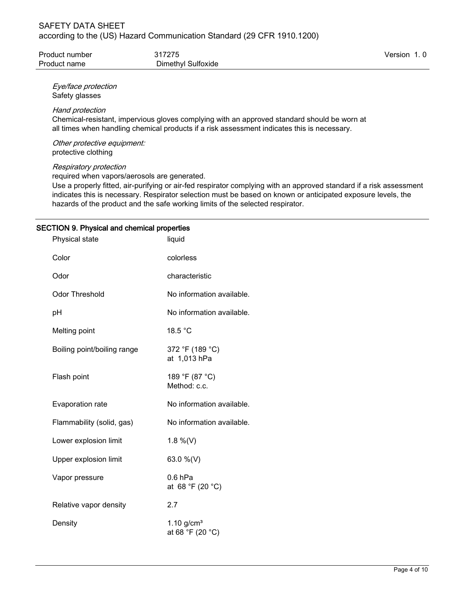| Product number | 317275             | Version 1.0 |
|----------------|--------------------|-------------|
| Product name   | Dimethyl Sulfoxide |             |

Eye/face protection Safety glasses

#### Hand protection

Chemical-resistant, impervious gloves complying with an approved standard should be worn at all times when handling chemical products if a risk assessment indicates this is necessary.

Other protective equipment: protective clothing

#### Respiratory protection

required when vapors/aerosols are generated.

Use a properly fitted, air-purifying or air-fed respirator complying with an approved standard if a risk assessment indicates this is necessary. Respirator selection must be based on known or anticipated exposure levels, the hazards of the product and the safe working limits of the selected respirator.

# SECTION 9. Physical and chemical properties

| Physical state              | liquid                                       |
|-----------------------------|----------------------------------------------|
| Color                       | colorless                                    |
| Odor                        | characteristic                               |
| <b>Odor Threshold</b>       | No information available.                    |
| рH                          | No information available.                    |
| Melting point               | 18.5 °C                                      |
| Boiling point/boiling range | 372 °F (189 °C)<br>at 1,013 hPa              |
| Flash point                 | 189 °F (87 °C)<br>Method: c.c.               |
| Evaporation rate            | No information available.                    |
| Flammability (solid, gas)   | No information available.                    |
| Lower explosion limit       | 1.8 %(V)                                     |
| Upper explosion limit       | 63.0 %(V)                                    |
| Vapor pressure              | $0.6$ hPa<br>at 68 °F (20 °C)                |
| Relative vapor density      | 2.7                                          |
| Density                     | $1.10$ g/cm <sup>3</sup><br>at 68 °F (20 °C) |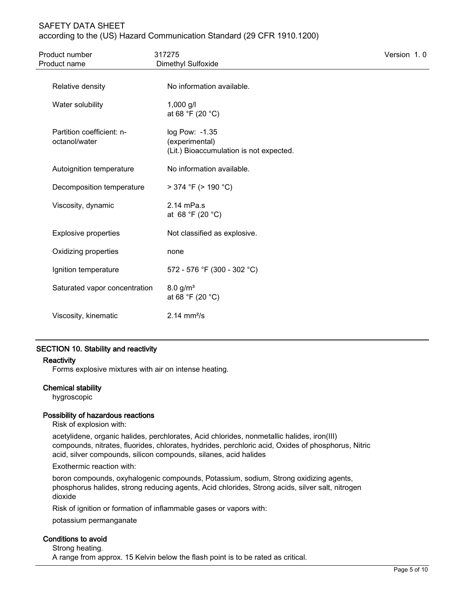# SAFETY DATA SHEET according to the (US) Hazard Communication Standard (29 CFR 1910.1200)

| Product number<br>Product name             | 317275<br>Dimethyl Sulfoxide                                                | Version 1.0 |
|--------------------------------------------|-----------------------------------------------------------------------------|-------------|
| Relative density                           | No information available.                                                   |             |
| Water solubility                           | $1,000$ g/l<br>at 68 °F (20 °C)                                             |             |
| Partition coefficient: n-<br>octanol/water | log Pow: -1.35<br>(experimental)<br>(Lit.) Bioaccumulation is not expected. |             |
| Autoignition temperature                   | No information available.                                                   |             |
| Decomposition temperature                  | $>$ 374 °F ( $>$ 190 °C)                                                    |             |
| Viscosity, dynamic                         | $2.14$ mPa.s<br>at 68 °F (20 °C)                                            |             |
| <b>Explosive properties</b>                | Not classified as explosive.                                                |             |
| Oxidizing properties                       | none                                                                        |             |
| Ignition temperature                       | 572 - 576 °F (300 - 302 °C)                                                 |             |
| Saturated vapor concentration              | 8.0 g/m <sup>3</sup><br>at 68 °F (20 °C)                                    |             |
| Viscosity, kinematic                       | $2.14 \, \text{mm}^2/\text{s}$                                              |             |

# SECTION 10. Stability and reactivity

# **Reactivity**

Forms explosive mixtures with air on intense heating.

# Chemical stability

hygroscopic

# Possibility of hazardous reactions

Risk of explosion with:

acetylidene, organic halides, perchlorates, Acid chlorides, nonmetallic halides, iron(III) compounds, nitrates, fluorides, chlorates, hydrides, perchloric acid, Oxides of phosphorus, Nitric acid, silver compounds, silicon compounds, silanes, acid halides

Exothermic reaction with:

boron compounds, oxyhalogenic compounds, Potassium, sodium, Strong oxidizing agents, phosphorus halides, strong reducing agents, Acid chlorides, Strong acids, silver salt, nitrogen dioxide

Risk of ignition or formation of inflammable gases or vapors with:

potassium permanganate

# Conditions to avoid

Strong heating. A range from approx. 15 Kelvin below the flash point is to be rated as critical.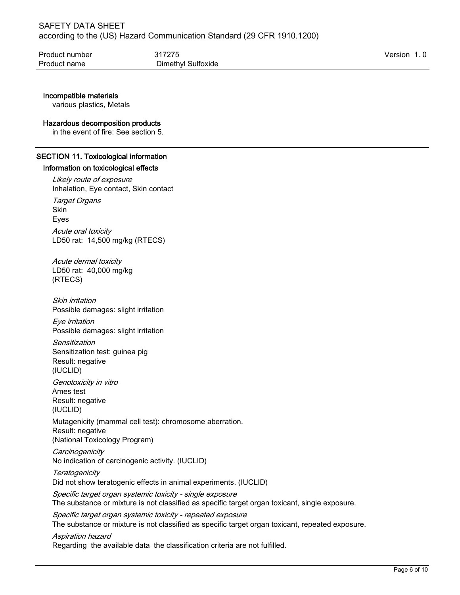| Product number | 317275             | Version 1.0 |
|----------------|--------------------|-------------|
| Product name   | Dimethyl Sulfoxide |             |

# Incompatible materials

various plastics, Metals

#### Hazardous decomposition products

in the event of fire: See section 5.

# SECTION 11. Toxicological information

# Information on toxicological effects

Likely route of exposure Inhalation, Eye contact, Skin contact **Target Organs Skin** Eyes Acute oral toxicity LD50 rat: 14,500 mg/kg (RTECS)

Acute dermal toxicity LD50 rat: 40,000 mg/kg (RTECS)

Skin irritation Possible damages: slight irritation

Eye irritation Possible damages: slight irritation

Sensitization Sensitization test: guinea pig Result: negative (IUCLID)

Genotoxicity in vitro Ames test Result: negative (IUCLID)

Mutagenicity (mammal cell test): chromosome aberration. Result: negative (National Toxicology Program)

**Carcinogenicity** No indication of carcinogenic activity. (IUCLID)

**Teratogenicity** Did not show teratogenic effects in animal experiments. (IUCLID)

Specific target organ systemic toxicity - single exposure The substance or mixture is not classified as specific target organ toxicant, single exposure.

Specific target organ systemic toxicity - repeated exposure The substance or mixture is not classified as specific target organ toxicant, repeated exposure.

Aspiration hazard Regarding the available data the classification criteria are not fulfilled.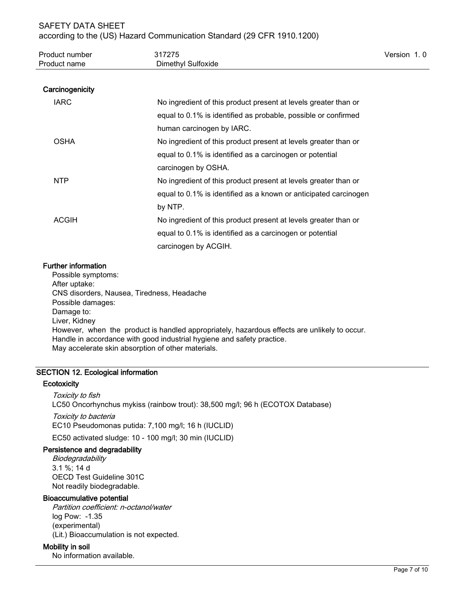| Product number | 317275             | Version 1.0 |  |
|----------------|--------------------|-------------|--|
| Product name   | Dimethyl Sulfoxide |             |  |

## **Carcinogenicity**

| <b>IARC</b>  | No ingredient of this product present at levels greater than or  |
|--------------|------------------------------------------------------------------|
|              | equal to 0.1% is identified as probable, possible or confirmed   |
|              | human carcinogen by IARC.                                        |
| <b>OSHA</b>  | No ingredient of this product present at levels greater than or  |
|              | equal to 0.1% is identified as a carcinogen or potential         |
|              | carcinogen by OSHA.                                              |
| NTP.         | No ingredient of this product present at levels greater than or  |
|              | equal to 0.1% is identified as a known or anticipated carcinogen |
|              | by NTP.                                                          |
| <b>ACGIH</b> | No ingredient of this product present at levels greater than or  |
|              | equal to 0.1% is identified as a carcinogen or potential         |
|              | carcinogen by ACGIH.                                             |

#### Further information

Possible symptoms: After uptake: CNS disorders, Nausea, Tiredness, Headache Possible damages: Damage to: Liver, Kidney However, when the product is handled appropriately, hazardous effects are unlikely to occur. Handle in accordance with good industrial hygiene and safety practice. May accelerate skin absorption of other materials.

# SECTION 12. Ecological information

#### **Ecotoxicity**

Toxicity to fish LC50 Oncorhynchus mykiss (rainbow trout): 38,500 mg/l; 96 h (ECOTOX Database) Toxicity to bacteria EC10 Pseudomonas putida: 7,100 mg/l; 16 h (IUCLID) EC50 activated sludge: 10 - 100 mg/l; 30 min (IUCLID)

# Persistence and degradability

**Biodegradability** 3.1 %; 14 d OECD Test Guideline 301C Not readily biodegradable.

#### Bioaccumulative potential

Partition coefficient: n-octanol/water log Pow: -1.35 (experimental) (Lit.) Bioaccumulation is not expected.

# Mobility in soil

No information available.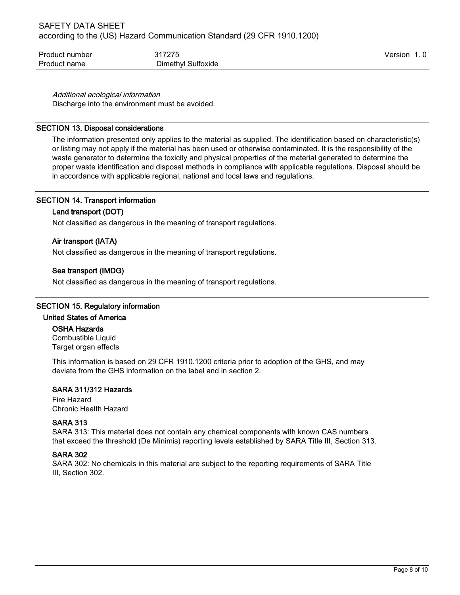| Product number | 317275             | Version 1.0 |  |
|----------------|--------------------|-------------|--|
| Product name   | Dimethyl Sulfoxide |             |  |

Additional ecological information

Discharge into the environment must be avoided.

# SECTION 13. Disposal considerations

The information presented only applies to the material as supplied. The identification based on characteristic(s) or listing may not apply if the material has been used or otherwise contaminated. It is the responsibility of the waste generator to determine the toxicity and physical properties of the material generated to determine the proper waste identification and disposal methods in compliance with applicable regulations. Disposal should be in accordance with applicable regional, national and local laws and regulations.

# SECTION 14. Transport information

# Land transport (DOT)

Not classified as dangerous in the meaning of transport regulations.

# Air transport (IATA)

Not classified as dangerous in the meaning of transport regulations.

# Sea transport (IMDG)

Not classified as dangerous in the meaning of transport regulations.

# SECTION 15. Regulatory information

# United States of America

# OSHA Hazards

Combustible Liquid Target organ effects

This information is based on 29 CFR 1910.1200 criteria prior to adoption of the GHS, and may deviate from the GHS information on the label and in section 2.

# SARA 311/312 Hazards

Fire Hazard Chronic Health Hazard

# SARA 313

SARA 313: This material does not contain any chemical components with known CAS numbers that exceed the threshold (De Minimis) reporting levels established by SARA Title III, Section 313.

# SARA 302

SARA 302: No chemicals in this material are subject to the reporting requirements of SARA Title III, Section 302.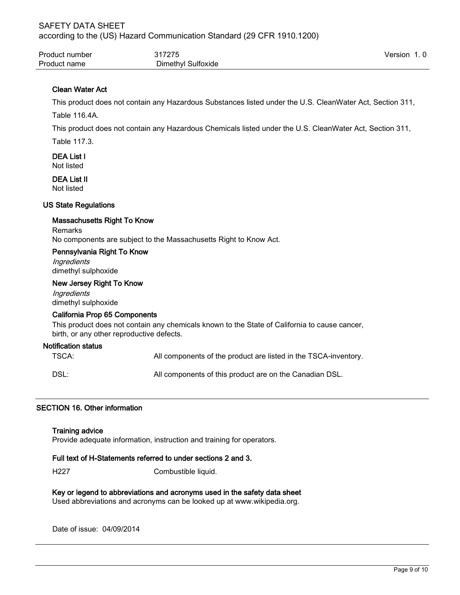| Product number | 317275             | Version 1.0 |  |
|----------------|--------------------|-------------|--|
| Product name   | Dimethyl Sulfoxide |             |  |

# Clean Water Act

This product does not contain any Hazardous Substances listed under the U.S. CleanWater Act, Section 311,

Table 116.4A.

This product does not contain any Hazardous Chemicals listed under the U.S. CleanWater Act, Section 311,

Table 117.3.

DEA List I Not listed

DEA List II Not listed

#### US State Regulations

#### Massachusetts Right To Know

Remarks No components are subject to the Massachusetts Right to Know Act.

#### Pennsylvania Right To Know

**Ingredients** dimethyl sulphoxide

#### New Jersey Right To Know

**Ingredients** dimethyl sulphoxide

#### California Prop 65 Components

This product does not contain any chemicals known to the State of California to cause cancer, birth, or any other reproductive defects.

#### Notification status

TSCA: All components of the product are listed in the TSCA-inventory.

DSL: All components of this product are on the Canadian DSL.

#### SECTION 16. Other information

#### Training advice

Provide adequate information, instruction and training for operators.

#### Full text of H-Statements referred to under sections 2 and 3.

H<sub>227</sub> Combustible liquid.

Key or legend to abbreviations and acronyms used in the safety data sheet Used abbreviations and acronyms can be looked up at www.wikipedia.org.

Date of issue: 04/09/2014